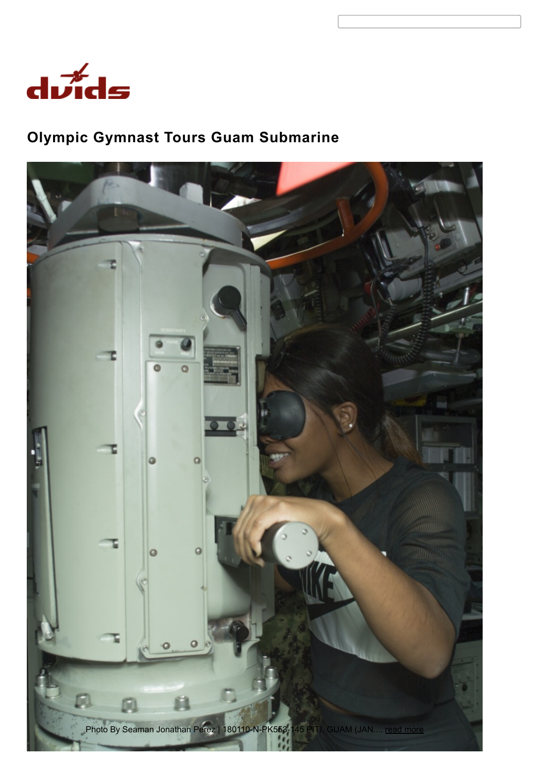

# Olympic Gymnast Tours Guam Submarine

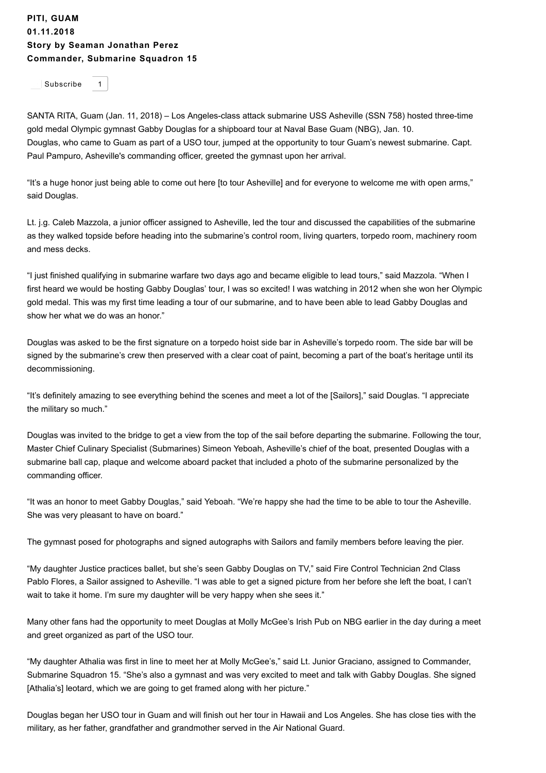#### PITI, GUAM 01.11.2018 Story by Seaman [Jonathan](https://www.dvidshub.net/portfolio/1482327/jonathan-perez) Perez [Commander,](https://www.dvidshub.net/unit/CSS15) Submarine Squadron 15

[Subscribe](https://www.dvidshub.net/alerts/unit/3691) 1

SANTA RITA, Guam (Jan. 11, 2018) – Los Angeles-class attack submarine USS Asheville (SSN 758) hosted three-time gold medal Olympic gymnast Gabby Douglas for a shipboard tour at Naval Base Guam (NBG), Jan. 10. Douglas, who came to Guam as part of a USO tour, jumped at the opportunity to tour Guam's newest submarine. Capt. Paul Pampuro, Asheville's commanding officer, greeted the gymnast upon her arrival.

"It's a huge honor just being able to come out here [to tour Asheville] and for everyone to welcome me with open arms," said Douglas.

Lt. j.g. Caleb Mazzola, a junior officer assigned to Asheville, led the tour and discussed the capabilities of the submarine as they walked topside before heading into the submarine's control room, living quarters, torpedo room, machinery room and mess decks.

"I just finished qualifying in submarine warfare two days ago and became eligible to lead tours," said Mazzola. "When I first heard we would be hosting Gabby Douglas' tour, I was so excited! I was watching in 2012 when she won her Olympic gold medal. This was my first time leading a tour of our submarine, and to have been able to lead Gabby Douglas and show her what we do was an honor."

Douglas was asked to be the first signature on a torpedo hoist side bar in Asheville's torpedo room. The side bar will be signed by the submarine's crew then preserved with a clear coat of paint, becoming a part of the boat's heritage until its decommissioning.

"It's definitely amazing to see everything behind the scenes and meet a lot of the [Sailors]," said Douglas. "I appreciate the military so much."

Douglas was invited to the bridge to get a view from the top of the sail before departing the submarine. Following the tour, Master Chief Culinary Specialist (Submarines) Simeon Yeboah, Asheville's chief of the boat, presented Douglas with a submarine ball cap, plaque and welcome aboard packet that included a photo of the submarine personalized by the commanding officer.

"It was an honor to meet Gabby Douglas," said Yeboah. "We're happy she had the time to be able to tour the Asheville. She was very pleasant to have on board."

The gymnast posed for photographs and signed autographs with Sailors and family members before leaving the pier.

"My daughter Justice practices ballet, but she's seen Gabby Douglas on TV," said Fire Control Technician 2nd Class Pablo Flores, a Sailor assigned to Asheville. "I was able to get a signed picture from her before she left the boat, I can't wait to take it home. I'm sure my daughter will be very happy when she sees it."

Many other fans had the opportunity to meet Douglas at Molly McGee's Irish Pub on NBG earlier in the day during a meet and greet organized as part of the USO tour.

"My daughter Athalia was first in line to meet her at Molly McGee's," said Lt. Junior Graciano, assigned to Commander, Submarine Squadron 15. "She's also a gymnast and was very excited to meet and talk with Gabby Douglas. She signed [Athalia's] leotard, which we are going to get framed along with her picture."

Douglas began her USO tour in Guam and will finish out her tour in Hawaii and Los Angeles. She has close ties with the military, as her father, grandfather and grandmother served in the Air National Guard.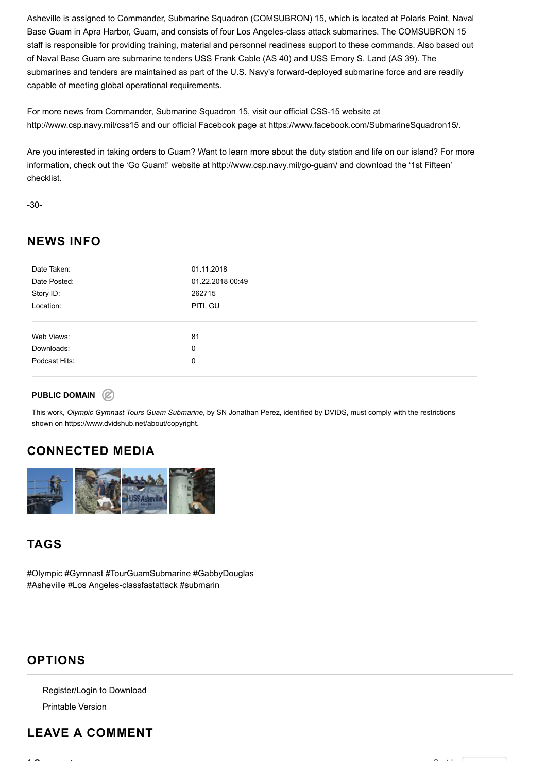Asheville is assigned to Commander, Submarine Squadron (COMSUBRON) 15, which is located at Polaris Point, Naval Base Guam in Apra Harbor, Guam, and consists of four Los Angeles-class attack submarines. The COMSUBRON 15 staff is responsible for providing training, material and personnel readiness support to these commands. Also based out of Naval Base Guam are submarine tenders USS Frank Cable (AS 40) and USS Emory S. Land (AS 39). The submarines and tenders are maintained as part of the U.S. Navy's forward-deployed submarine force and are readily capable of meeting global operational requirements.

For more news from Commander, Submarine Squadron 15, visit our official CSS-15 website at http://www.csp.navy.mil/css15 and our official Facebook page at https://www.facebook.com/SubmarineSquadron15/.

Are you interested in taking orders to Guam? Want to learn more about the duty station and life on our island? For more information, check out the 'Go Guam!' website at http://www.csp.navy.mil/go-guam/ and download the '1st Fifteen' checklist.

-30-

## NEWS INFO

| Date Taken:   | 01.11.2018       |
|---------------|------------------|
| Date Posted:  | 01.22.2018 00:49 |
| Story ID:     | 262715           |
| Location:     | PITI, GU         |
|               |                  |
|               |                  |
| Web Views:    | 81               |
| Downloads:    | 0                |
| Podcast Hits: | 0                |
|               |                  |

#### PUBLIC DOMAIN (2)

This work, Olympic Gymnast Tours Guam Submarine, by [SN Jonathan Perez,](https://www.dvidshub.net/portfolio/1482327/jonathan-perez) identified by [DVIDS](https://www.dvidshub.net/), must comply with the restrictions shown on <https://www.dvidshub.net/about/copyright>.

# CONNECTED MEDIA



## TAGS

[#Olympic #Gymnast #TourGuamSubmarine #GabbyDouglas](https://www.dvidshub.net/tags/news/olympic-gymnast-tourguamsubmarine-gabbydouglas-asheville-los-angelesclassfastattack-submarine-ssn-758-whygoguam) #Asheville #Los Angeles-classfastattack #submarin

### OPTIONS

Register/Login to Download

[Printable Version](https://www.dvidshub.net/news/printable/262715)

# LEAVE A COMMENT